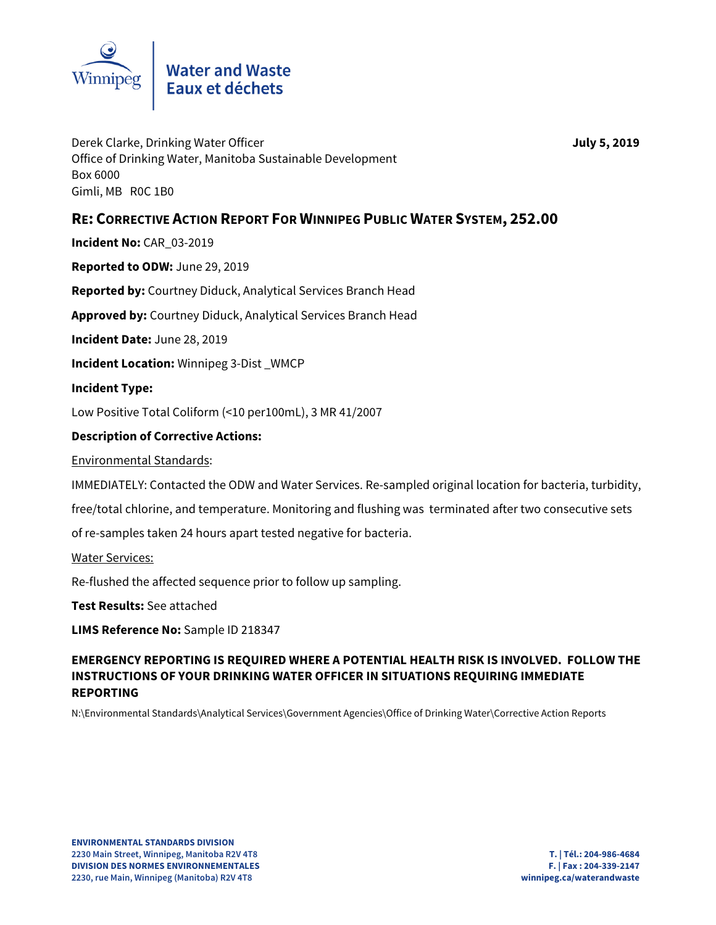

Derek Clarke, Drinking Water Officer **July 5, 2019** Office of Drinking Water, Manitoba Sustainable Development Box 6000 Gimli, MB R0C 1B0

## **RE: CORRECTIVE ACTION REPORT FOR WINNIPEG PUBLIC WATER SYSTEM, 252.00**

**Incident No:** CAR\_03-2019

**Reported to ODW:** June 29, 2019

**Reported by:** Courtney Diduck, Analytical Services Branch Head

**Approved by:** Courtney Diduck, Analytical Services Branch Head

**Incident Date:** June 28, 2019

**Incident Location: Winnipeg 3-Dist WMCP** 

**Incident Type:** 

Low Positive Total Coliform (<10 per100mL), 3 MR 41/2007

## **Description of Corrective Actions:**

Environmental Standards:

IMMEDIATELY: Contacted the ODW and Water Services. Re-sampled original location for bacteria, turbidity,

free/total chlorine, and temperature. Monitoring and flushing was terminated after two consecutive sets

of re-samples taken 24 hours apart tested negative for bacteria.

Water Services:

Re-flushed the affected sequence prior to follow up sampling.

**Test Results:** See attached

**LIMS Reference No:** Sample ID 218347

**EMERGENCY REPORTING IS REQUIRED WHERE A POTENTIAL HEALTH RISK IS INVOLVED. FOLLOW THE INSTRUCTIONS OF YOUR DRINKING WATER OFFICER IN SITUATIONS REQUIRING IMMEDIATE REPORTING** 

N:\Environmental Standards\Analytical Services\Government Agencies\Office of Drinking Water\Corrective Action Reports